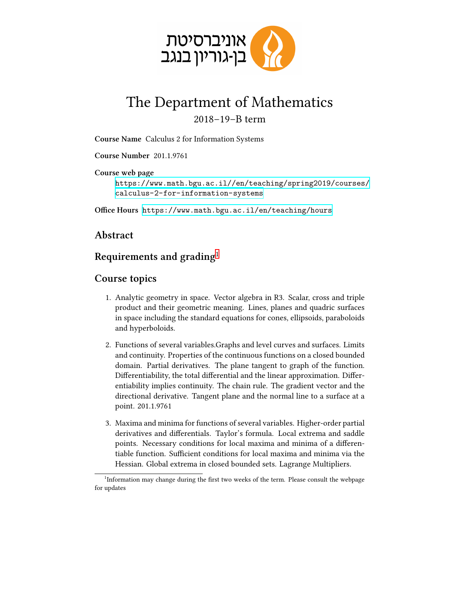

## The Department of Mathematics 2018–19–B term

**Course Name** Calculus 2 for Information Systems

**Course Number** 201.1.9761

**Course web page**

[https://www.math.bgu.ac.il//en/teaching/spring2019/courses/](https://www.math.bgu.ac.il//en/teaching/spring2019/courses/calculus-2-for-information-systems) [calculus-2-for-information-systems](https://www.math.bgu.ac.il//en/teaching/spring2019/courses/calculus-2-for-information-systems)

**Office Hours** <https://www.math.bgu.ac.il/en/teaching/hours>

## **Abstract**

## **Requirements and grading**[1](#page-0-0)

## **Course topics**

- 1. Analytic geometry in space. Vector algebra in R3. Scalar, cross and triple product and their geometric meaning. Lines, planes and quadric surfaces in space including the standard equations for cones, ellipsoids, paraboloids and hyperboloids.
- 2. Functions of several variables.Graphs and level curves and surfaces. Limits and continuity. Properties of the continuous functions on a closed bounded domain. Partial derivatives. The plane tangent to graph of the function. Differentiability, the total differential and the linear approximation. Differentiability implies continuity. The chain rule. The gradient vector and the directional derivative. Tangent plane and the normal line to a surface at a point. 201.1.9761
- 3. Maxima and minima for functions of several variables. Higher-order partial derivatives and differentials. Taylor's formula. Local extrema and saddle points. Necessary conditions for local maxima and minima of a differentiable function. Sufficient conditions for local maxima and minima via the Hessian. Global extrema in closed bounded sets. Lagrange Multipliers.

<span id="page-0-0"></span><sup>&</sup>lt;sup>1</sup>Information may change during the first two weeks of the term. Please consult the webpage for updates